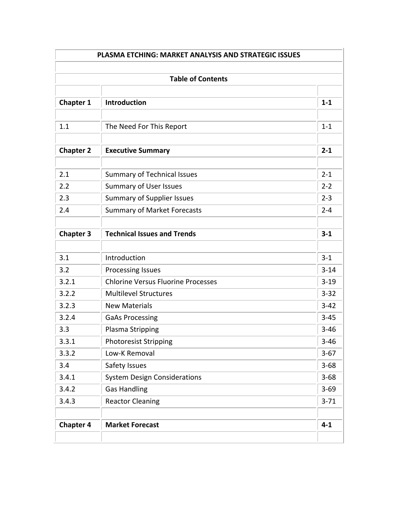| <b>Table of Contents</b> |                                           |          |  |
|--------------------------|-------------------------------------------|----------|--|
| <b>Chapter 1</b>         | Introduction                              | $1 - 1$  |  |
|                          |                                           |          |  |
| 1.1                      | The Need For This Report                  | $1 - 1$  |  |
| <b>Chapter 2</b>         | <b>Executive Summary</b>                  | $2 - 1$  |  |
| 2.1                      | <b>Summary of Technical Issues</b>        | $2 - 1$  |  |
| 2.2                      | <b>Summary of User Issues</b>             | $2 - 2$  |  |
| 2.3                      | <b>Summary of Supplier Issues</b>         | $2 - 3$  |  |
| 2.4                      | <b>Summary of Market Forecasts</b>        | $2 - 4$  |  |
| <b>Chapter 3</b>         | <b>Technical Issues and Trends</b>        | $3 - 1$  |  |
|                          |                                           |          |  |
| 3.1                      | Introduction                              | $3 - 1$  |  |
| 3.2                      | <b>Processing Issues</b>                  | $3 - 14$ |  |
| 3.2.1                    | <b>Chlorine Versus Fluorine Processes</b> | $3 - 19$ |  |
| 3.2.2                    | <b>Multilevel Structures</b>              | $3 - 32$ |  |
| 3.2.3                    | <b>New Materials</b>                      | $3 - 42$ |  |
| 3.2.4                    | <b>GaAs Processing</b>                    | $3 - 45$ |  |
| 3.3                      | Plasma Stripping                          | $3 - 46$ |  |
| 3.3.1                    | <b>Photoresist Stripping</b>              | $3 - 46$ |  |
| 3.3.2                    | Low-K Removal                             | $3 - 67$ |  |
| 3.4                      | Safety Issues                             | $3 - 68$ |  |
| 3.4.1                    | <b>System Design Considerations</b>       | $3 - 68$ |  |
| 3.4.2                    | <b>Gas Handling</b>                       | $3 - 69$ |  |
| 3.4.3                    | <b>Reactor Cleaning</b>                   | $3 - 71$ |  |
|                          |                                           |          |  |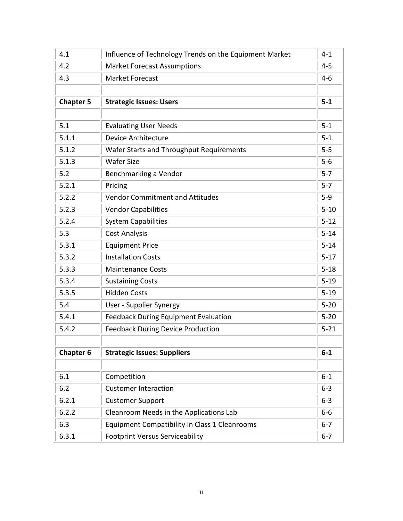| 4.1              | Influence of Technology Trends on the Equipment Market | $4 - 1$  |
|------------------|--------------------------------------------------------|----------|
| 4.2              | <b>Market Forecast Assumptions</b>                     | $4 - 5$  |
| 4.3              | <b>Market Forecast</b>                                 | $4 - 6$  |
|                  |                                                        |          |
| <b>Chapter 5</b> | <b>Strategic Issues: Users</b>                         | $5-1$    |
|                  |                                                        |          |
| 5.1              | <b>Evaluating User Needs</b>                           | $5 - 1$  |
| 5.1.1            | <b>Device Architecture</b>                             | $5 - 1$  |
| 5.1.2            | <b>Wafer Starts and Throughput Requirements</b>        | $5-5$    |
| 5.1.3            | <b>Wafer Size</b>                                      | $5-6$    |
| 5.2              | Benchmarking a Vendor                                  | $5 - 7$  |
| 5.2.1            | Pricing                                                | $5 - 7$  |
| 5.2.2            | <b>Vendor Commitment and Attitudes</b>                 | $5-9$    |
| 5.2.3            | <b>Vendor Capabilities</b>                             | $5 - 10$ |
| 5.2.4            | <b>System Capabilities</b>                             | $5 - 12$ |
| 5.3              | <b>Cost Analysis</b>                                   | $5 - 14$ |
| 5.3.1            | <b>Equipment Price</b>                                 | $5 - 14$ |
| 5.3.2            | <b>Installation Costs</b>                              | $5 - 17$ |
| 5.3.3            | <b>Maintenance Costs</b>                               | $5 - 18$ |
| 5.3.4            | <b>Sustaining Costs</b>                                | $5 - 19$ |
| 5.3.5            | <b>Hidden Costs</b>                                    | $5 - 19$ |
| 5.4              | <b>User - Supplier Synergy</b>                         | $5 - 20$ |
| 5.4.1            | <b>Feedback During Equipment Evaluation</b>            | $5 - 20$ |
| 5.4.2            | <b>Feedback During Device Production</b>               | $5 - 21$ |
|                  |                                                        |          |
| <b>Chapter 6</b> | <b>Strategic Issues: Suppliers</b>                     | $6-1$    |
|                  |                                                        |          |
| 6.1              | Competition                                            | $6 - 1$  |
| 6.2              | <b>Customer Interaction</b>                            | $6 - 3$  |
| 6.2.1            | <b>Customer Support</b>                                | $6 - 3$  |
| 6.2.2            | Cleanroom Needs in the Applications Lab                | $6-6$    |
| 6.3              | <b>Equipment Compatibility in Class 1 Cleanrooms</b>   | $6 - 7$  |
| 6.3.1            | <b>Footprint Versus Serviceability</b>                 | $6 - 7$  |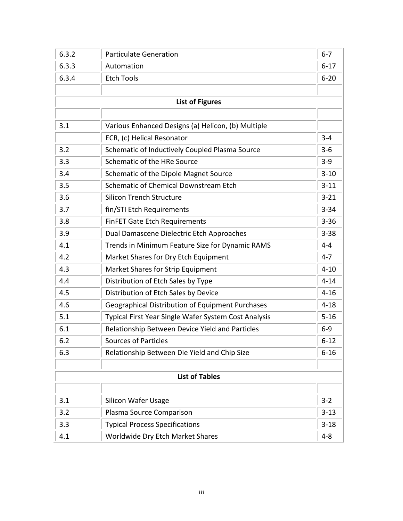| 6.3.2 | <b>Particulate Generation</b>                           | $6 - 7$  |
|-------|---------------------------------------------------------|----------|
| 6.3.3 | Automation                                              | $6 - 17$ |
| 6.3.4 | <b>Etch Tools</b>                                       | $6 - 20$ |
|       |                                                         |          |
|       | <b>List of Figures</b>                                  |          |
|       |                                                         |          |
| 3.1   | Various Enhanced Designs (a) Helicon, (b) Multiple      |          |
|       | ECR, (c) Helical Resonator                              | $3 - 4$  |
| 3.2   | Schematic of Inductively Coupled Plasma Source          | $3 - 6$  |
| 3.3   | Schematic of the HRe Source                             | $3 - 9$  |
| 3.4   | Schematic of the Dipole Magnet Source                   | $3 - 10$ |
| 3.5   | Schematic of Chemical Downstream Etch                   | $3 - 11$ |
| 3.6   | <b>Silicon Trench Structure</b>                         | $3 - 21$ |
| 3.7   | fin/STI Etch Requirements                               | $3 - 34$ |
| 3.8   | <b>FinFET Gate Etch Requirements</b>                    | $3 - 36$ |
| 3.9   | Dual Damascene Dielectric Etch Approaches               | $3 - 38$ |
| 4.1   | Trends in Minimum Feature Size for Dynamic RAMS         | $4 - 4$  |
| 4.2   | Market Shares for Dry Etch Equipment                    | $4 - 7$  |
| 4.3   | Market Shares for Strip Equipment                       | $4 - 10$ |
| 4.4   | Distribution of Etch Sales by Type                      | $4 - 14$ |
| 4.5   | Distribution of Etch Sales by Device                    | $4 - 16$ |
| 4.6   | <b>Geographical Distribution of Equipment Purchases</b> | $4 - 18$ |
| 5.1   | Typical First Year Single Wafer System Cost Analysis    | $5 - 16$ |
| 6.1   | Relationship Between Device Yield and Particles         | $6 - 9$  |
| 6.2   | <b>Sources of Particles</b>                             | $6 - 12$ |
| 6.3   | Relationship Between Die Yield and Chip Size            | $6 - 16$ |
|       |                                                         |          |
|       | <b>List of Tables</b>                                   |          |
|       |                                                         |          |
| 3.1   | <b>Silicon Wafer Usage</b>                              | $3 - 2$  |
| 3.2   | Plasma Source Comparison                                | $3 - 13$ |
| 3.3   | <b>Typical Process Specifications</b>                   | $3 - 18$ |
| 4.1   | Worldwide Dry Etch Market Shares                        | $4 - 8$  |